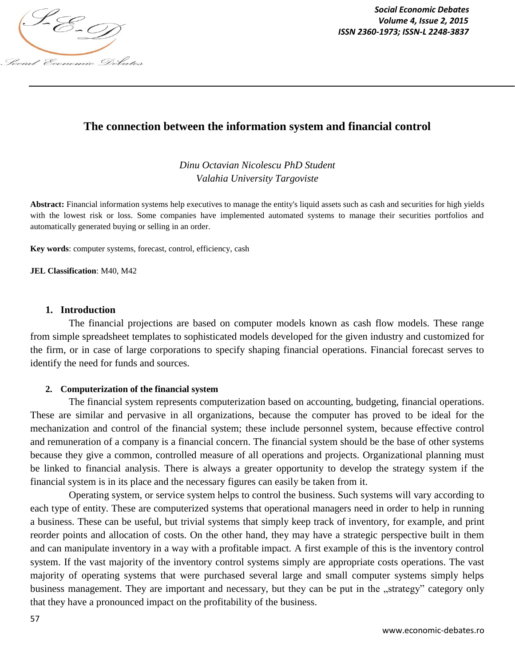

*Social Economic Debates ISSN 2360-1973; ISSN-L 2248-3837*

# **The connection between the information system and financial control**

*Dinu Octavian Nicolescu PhD Student Valahia University Targoviste*

**Abstract:** Financial information systems help executives to manage the entity's liquid assets such as cash and securities for high yields with the lowest risk or loss. Some companies have implemented automated systems to manage their securities portfolios and automatically generated buying or selling in an order.

**Key words**: computer systems, forecast, control, efficiency, cash

**JEL Classification**: M40, M42

#### **1. Introduction**

The financial projections are based on computer models known as cash flow models. These range from simple spreadsheet templates to sophisticated models developed for the given industry and customized for the firm, or in case of large corporations to specify shaping financial operations. Financial forecast serves to identify the need for funds and sources.

#### **2. Computerization of the financial system**

The financial system represents computerization based on accounting, budgeting, financial operations. These are similar and pervasive in all organizations, because the computer has proved to be ideal for the mechanization and control of the financial system; these include personnel system, because effective control and remuneration of a company is a financial concern. The financial system should be the base of other systems because they give a common, controlled measure of all operations and projects. Organizational planning must be linked to financial analysis. There is always a greater opportunity to develop the strategy system if the financial system is in its place and the necessary figures can easily be taken from it.

Operating system, or service system helps to control the business. Such systems will vary according to each type of entity. These are computerized systems that operational managers need in order to help in running a business. These can be useful, but trivial systems that simply keep track of inventory, for example, and print reorder points and allocation of costs. On the other hand, they may have a strategic perspective built in them and can manipulate inventory in a way with a profitable impact. A first example of this is the inventory control system. If the vast majority of the inventory control systems simply are appropriate costs operations. The vast majority of operating systems that were purchased several large and small computer systems simply helps business management. They are important and necessary, but they can be put in the "strategy" category only that they have a pronounced impact on the profitability of the business.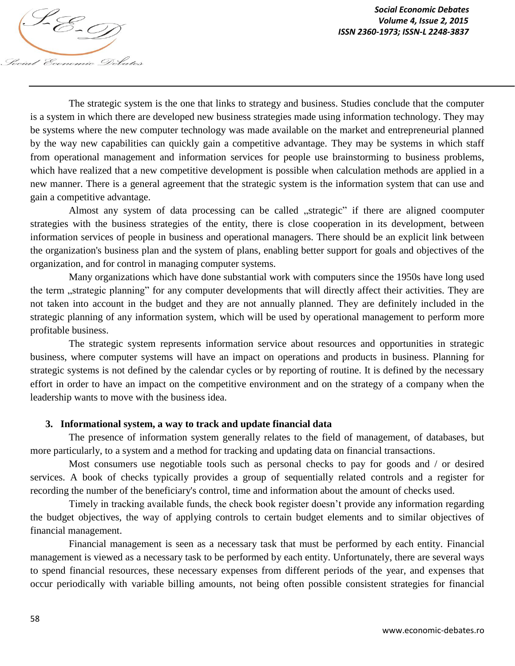The strategic system is the one that links to strategy and business. Studies conclude that the computer is a system in which there are developed new business strategies made using information technology. They may be systems where the new computer technology was made available on the market and entrepreneurial planned by the way new capabilities can quickly gain a competitive advantage. They may be systems in which staff from operational management and information services for people use brainstorming to business problems, which have realized that a new competitive development is possible when calculation methods are applied in a new manner. There is a general agreement that the strategic system is the information system that can use and gain a competitive advantage.

Almost any system of data processing can be called "strategic" if there are aligned coomputer strategies with the business strategies of the entity, there is close cooperation in its development, between information services of people in business and operational managers. There should be an explicit link between the organization's business plan and the system of plans, enabling better support for goals and objectives of the organization, and for control in managing computer systems.

Many organizations which have done substantial work with computers since the 1950s have long used the term "strategic planning" for any computer developments that will directly affect their activities. They are not taken into account in the budget and they are not annually planned. They are definitely included in the strategic planning of any information system, which will be used by operational management to perform more profitable business.

The strategic system represents information service about resources and opportunities in strategic business, where computer systems will have an impact on operations and products in business. Planning for strategic systems is not defined by the calendar cycles or by reporting of routine. It is defined by the necessary effort in order to have an impact on the competitive environment and on the strategy of a company when the leadership wants to move with the business idea.

#### **3. Informational system, a way to track and update financial data**

The presence of information system generally relates to the field of management, of databases, but more particularly, to a system and a method for tracking and updating data on financial transactions.

Most consumers use negotiable tools such as personal checks to pay for goods and / or desired services. A book of checks typically provides a group of sequentially related controls and a register for recording the number of the beneficiary's control, time and information about the amount of checks used.

Timely in tracking available funds, the check book register doesn't provide any information regarding the budget objectives, the way of applying controls to certain budget elements and to similar objectives of financial management.

Financial management is seen as a necessary task that must be performed by each entity. Financial management is viewed as a necessary task to be performed by each entity. Unfortunately, there are several ways to spend financial resources, these necessary expenses from different periods of the year, and expenses that occur periodically with variable billing amounts, not being often possible consistent strategies for financial

Social Economic Debates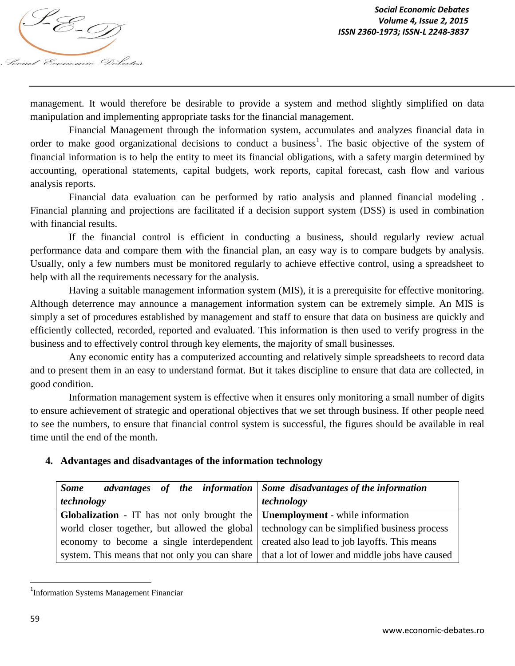

management. It would therefore be desirable to provide a system and method slightly simplified on data manipulation and implementing appropriate tasks for the financial management.

Financial Management through the information system, accumulates and analyzes financial data in order to make good organizational decisions to conduct a business<sup>1</sup>. The basic objective of the system of financial information is to help the entity to meet its financial obligations, with a safety margin determined by accounting, operational statements, capital budgets, work reports, capital forecast, cash flow and various analysis reports.

Financial data evaluation can be performed by ratio analysis and planned financial modeling . Financial planning and projections are facilitated if a decision support system (DSS) is used in combination with financial results.

If the financial control is efficient in conducting a business, should regularly review actual performance data and compare them with the financial plan, an easy way is to compare budgets by analysis. Usually, only a few numbers must be monitored regularly to achieve effective control, using a spreadsheet to help with all the requirements necessary for the analysis.

Having a suitable management information system (MIS), it is a prerequisite for effective monitoring. Although deterrence may announce a management information system can be extremely simple. An MIS is simply a set of procedures established by management and staff to ensure that data on business are quickly and efficiently collected, recorded, reported and evaluated. This information is then used to verify progress in the business and to effectively control through key elements, the majority of small businesses.

Any economic entity has a computerized accounting and relatively simple spreadsheets to record data and to present them in an easy to understand format. But it takes discipline to ensure that data are collected, in good condition.

Information management system is effective when it ensures only monitoring a small number of digits to ensure achievement of strategic and operational objectives that we set through business. If other people need to see the numbers, to ensure that financial control system is successful, the figures should be available in real time until the end of the month.

# **4. Advantages and disadvantages of the information technology**

| <b>Some</b>                                                                                        | advantages of the information Some disadvantages of the information                              |
|----------------------------------------------------------------------------------------------------|--------------------------------------------------------------------------------------------------|
| technology                                                                                         | technology                                                                                       |
| <b>Globalization</b> - IT has not only brought the $\vert$ <b>Unemployment</b> - while information |                                                                                                  |
| world closer together, but allowed the global technology can be simplified business process        |                                                                                                  |
| economy to become a single interdependent                                                          | created also lead to job layoffs. This means                                                     |
|                                                                                                    | system. This means that not only you can share   that a lot of lower and middle jobs have caused |

<sup>&</sup>lt;sup>1</sup>Information Systems Management Financiar

 $\overline{a}$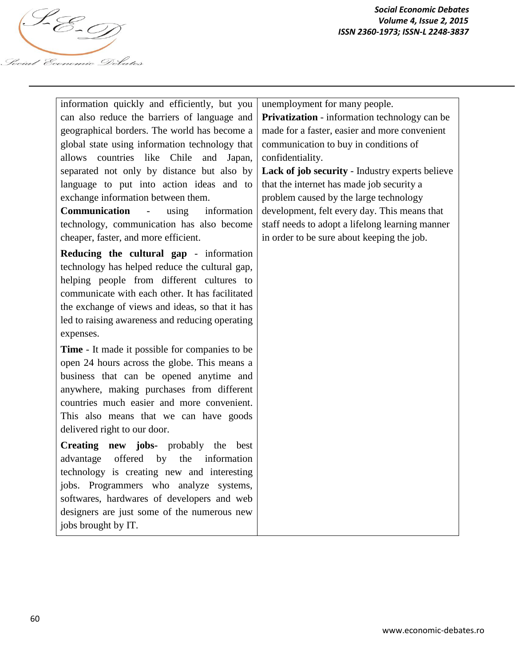

*Social Economic Debates ISSN 2360-1973; ISSN-L 2248-3837*

| information quickly and efficiently, but you          | unemployment for many people.                   |
|-------------------------------------------------------|-------------------------------------------------|
| can also reduce the barriers of language and          | Privatization - information technology can be   |
| geographical borders. The world has become a          | made for a faster, easier and more convenient   |
| global state using information technology that        | communication to buy in conditions of           |
| allows countries like Chile<br>and<br>Japan,          | confidentiality.                                |
| separated not only by distance but also by            | Lack of job security - Industry experts believe |
| language to put into action ideas and to              | that the internet has made job security a       |
| exchange information between them.                    | problem caused by the large technology          |
| Communication<br>$\mathbb{L}$<br>information<br>using | development, felt every day. This means that    |
| technology, communication has also become             | staff needs to adopt a lifelong learning manner |
| cheaper, faster, and more efficient.                  | in order to be sure about keeping the job.      |
| Reducing the cultural gap - information               |                                                 |
| technology has helped reduce the cultural gap,        |                                                 |
| helping people from different cultures to             |                                                 |
| communicate with each other. It has facilitated       |                                                 |
| the exchange of views and ideas, so that it has       |                                                 |
| led to raising awareness and reducing operating       |                                                 |
| expenses.                                             |                                                 |
| Time - It made it possible for companies to be        |                                                 |
| open 24 hours across the globe. This means a          |                                                 |
| business that can be opened anytime and               |                                                 |
| anywhere, making purchases from different             |                                                 |
| countries much easier and more convenient.            |                                                 |
| This also means that we can have goods                |                                                 |
| delivered right to our door.                          |                                                 |
| Creating new jobs- probably the best                  |                                                 |
| offered<br>the<br>advantage<br>by<br>information      |                                                 |
| technology is creating new and interesting            |                                                 |
| jobs. Programmers who analyze systems,                |                                                 |
| softwares, hardwares of developers and web            |                                                 |
| designers are just some of the numerous new           |                                                 |
| jobs brought by IT.                                   |                                                 |
|                                                       |                                                 |